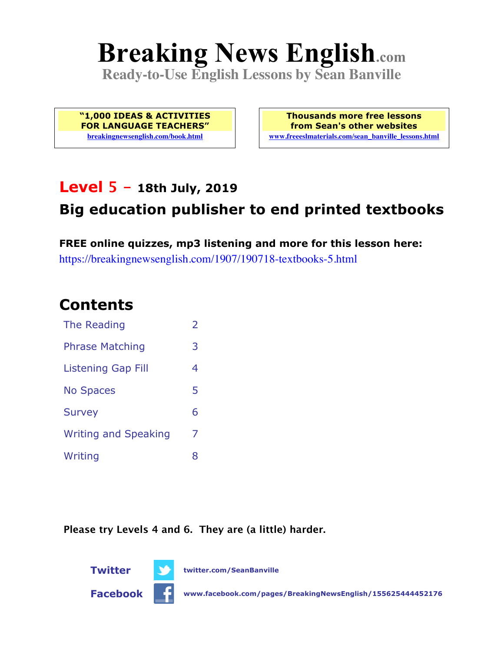# **Breaking News English.com**

**Ready-to-Use English Lessons by Sean Banville**

**"1,000 IDEAS & ACTIVITIES FOR LANGUAGE TEACHERS" breakingnewsenglish.com/book.html**

**Thousands more free lessons from Sean's other websites www.freeeslmaterials.com/sean\_banville\_lessons.html**

### **Level 5 - 18th July, 2019**

### **Big education publisher to end printed textbooks**

**FREE online quizzes, mp3 listening and more for this lesson here:** https://breakingnewsenglish.com/1907/190718-textbooks-5.html

### **Contents**

| The Reading                 | $\overline{\phantom{a}}$ |
|-----------------------------|--------------------------|
| <b>Phrase Matching</b>      | 3                        |
| Listening Gap Fill          | 4                        |
| <b>No Spaces</b>            | 5                        |
| <b>Survey</b>               | 6                        |
| <b>Writing and Speaking</b> | 7                        |
| Writing                     | 8                        |

**Please try Levels 4 and 6. They are (a little) harder.**

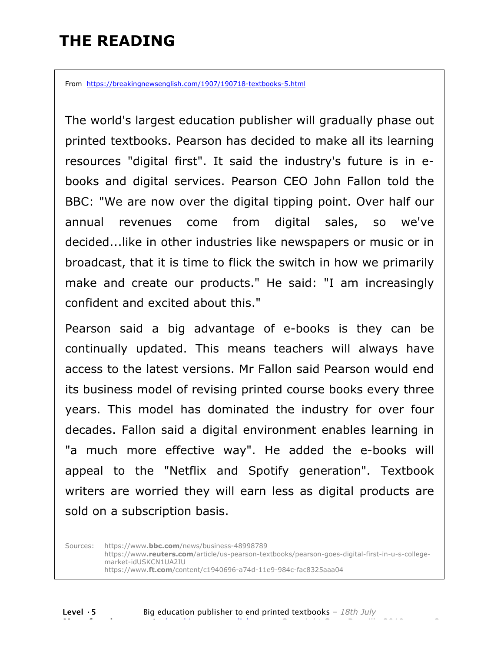### **THE READING**

From https://breakingnewsenglish.com/1907/190718-textbooks-5.html

The world's largest education publisher will gradually phase out printed textbooks. Pearson has decided to make all its learning resources "digital first". It said the industry's future is in ebooks and digital services. Pearson CEO John Fallon told the BBC: "We are now over the digital tipping point. Over half our annual revenues come from digital sales, so we've decided...like in other industries like newspapers or music or in broadcast, that it is time to flick the switch in how we primarily make and create our products." He said: "I am increasingly confident and excited about this."

Pearson said a big advantage of e-books is they can be continually updated. This means teachers will always have access to the latest versions. Mr Fallon said Pearson would end its business model of revising printed course books every three years. This model has dominated the industry for over four decades. Fallon said a digital environment enables learning in "a much more effective way". He added the e-books will appeal to the "Netflix and Spotify generation". Textbook writers are worried they will earn less as digital products are sold on a subscription basis.

Sources: https://www.**bbc.com**/news/business-48998789 https://www**.reuters.com**/article/us-pearson-textbooks/pearson-goes-digital-first-in-u-s-collegemarket-idUSKCN1UA2IU https://www.**ft.com**/content/c1940696-a74d-11e9-984c-fac8325aaa04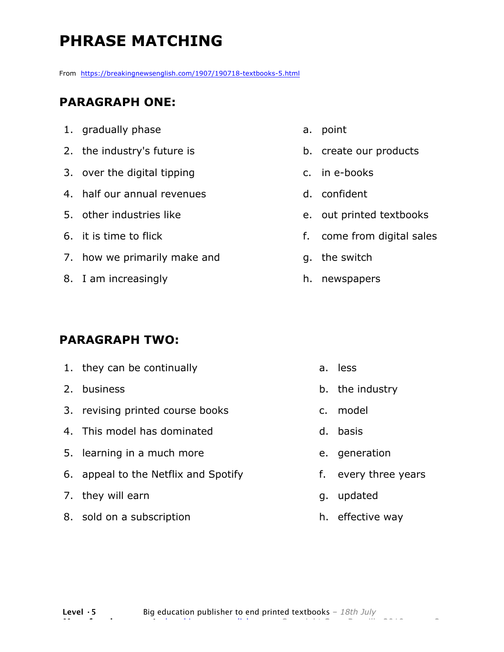# **PHRASE MATCHING**

From https://breakingnewsenglish.com/1907/190718-textbooks-5.html

#### **PARAGRAPH ONE:**

- 1. gradually phase
- 2. the industry's future is
- 3. over the digital tipping
- 4. half our annual revenues
- 5. other industries like
- 6. it is time to flick
- 7. how we primarily make and
- 8. I am increasingly

#### **PARAGRAPH TWO:**

- 1. they can be continually
- 2. business
- 3. revising printed course books
- 4. This model has dominated
- 5. learning in a much more
- 6. appeal to the Netflix and Spotify
- 7. they will earn
- 8. sold on a subscription
- a. point
- b. create our products
- c. in e-books
- d. confident
- e. out printed textbooks
- f. come from digital sales
- g. the switch
- h. newspapers

- a. less
- b. the industry
- c. model
- d. basis
- e. generation
- f. every three years
- g. updated
- h. effective way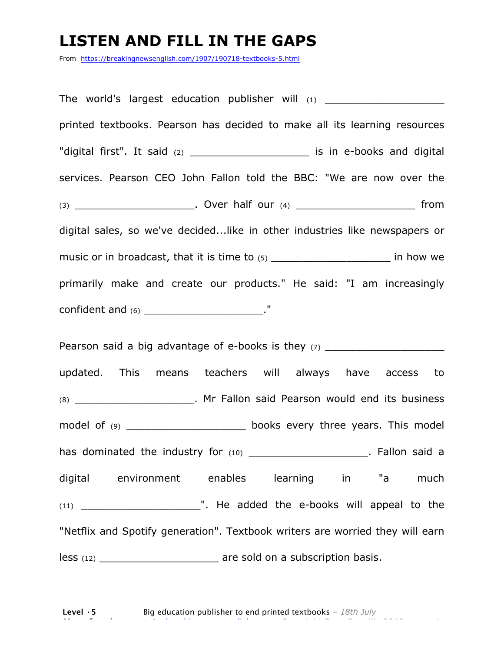### **LISTEN AND FILL IN THE GAPS**

From https://breakingnewsenglish.com/1907/190718-textbooks-5.html

The world's largest education publisher will  $_{(1)}$ printed textbooks. Pearson has decided to make all its learning resources "digital first". It said (2) \_\_\_\_\_\_\_\_\_\_\_\_\_\_\_\_\_\_\_\_\_\_\_ is in e-books and digital services. Pearson CEO John Fallon told the BBC: "We are now over the (3) \_\_\_\_\_\_\_\_\_\_\_\_\_\_\_\_\_\_\_\_\_\_\_\_\_\_. Over half our (4) \_\_\_\_\_\_\_\_\_\_\_\_\_\_\_\_\_\_\_\_\_\_\_\_\_\_\_\_\_\_ from digital sales, so we've decided...like in other industries like newspapers or music or in broadcast, that it is time to (5) \_\_\_\_\_\_\_\_\_\_\_\_\_\_\_\_\_\_\_\_\_\_\_\_\_\_ in how we primarily make and create our products." He said: "I am increasingly confident and (6) \_\_\_\_\_\_\_\_\_\_\_\_\_\_\_\_\_\_\_\_\_\_\_\_\_."

Pearson said a big advantage of e-books is they  $(7)$ updated. This means teachers will always have access to (8) \_\_\_\_\_\_\_\_\_\_\_\_\_\_\_\_\_\_\_. Mr Fallon said Pearson would end its business model of (9) contact the books every three years. This model has dominated the industry for (10) \_\_\_\_\_\_\_\_\_\_\_\_\_\_\_\_\_\_\_\_\_\_. Fallon said a digital environment enables learning in "a much (11) \_\_\_\_\_\_\_\_\_\_\_\_\_\_\_\_\_\_\_". He added the e-books will appeal to the "Netflix and Spotify generation". Textbook writers are worried they will earn less (12) **less** (12) **are sold on a subscription basis.**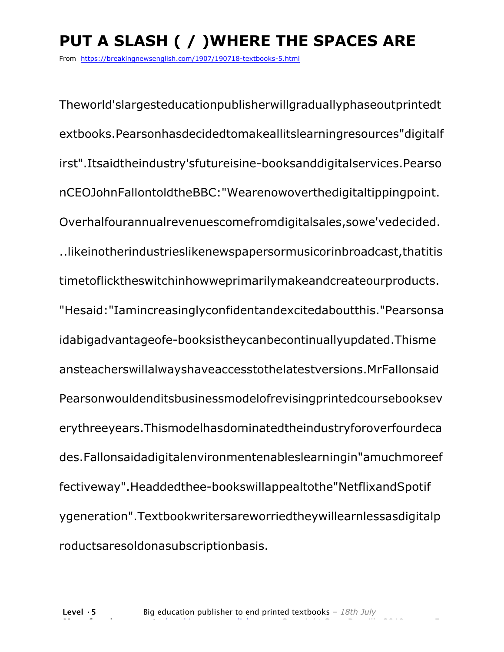# **PUT A SLASH ( / )WHERE THE SPACES ARE**

From https://breakingnewsenglish.com/1907/190718-textbooks-5.html

Theworld'slargesteducationpublisherwillgraduallyphaseoutprintedt extbooks.Pearsonhasdecidedtomakeallitslearningresources"digitalf irst".Itsaidtheindustry'sfutureisine-booksanddigitalservices.Pearso nCEOJohnFallontoldtheBBC:"Wearenowoverthedigitaltippingpoint. Overhalfourannualrevenuescomefromdigitalsales,sowe'vedecided. ..likeinotherindustrieslikenewspapersormusicorinbroadcast,thatitis timetoflicktheswitchinhowweprimarilymakeandcreateourproducts. "Hesaid:"Iamincreasinglyconfidentandexcitedaboutthis."Pearsonsa idabigadvantageofe-booksistheycanbecontinuallyupdated.Thisme ansteacherswillalwayshaveaccesstothelatestversions.MrFallonsaid Pearsonwouldenditsbusinessmodelofrevisingprintedcoursebooksev erythreeyears.Thismodelhasdominatedtheindustryforoverfourdeca des.Fallonsaidadigitalenvironmentenableslearningin"amuchmoreef fectiveway".Headdedthee-bookswillappealtothe"NetflixandSpotif ygeneration".Textbookwritersareworriedtheywillearnlessasdigitalp roductsaresoldonasubscriptionbasis.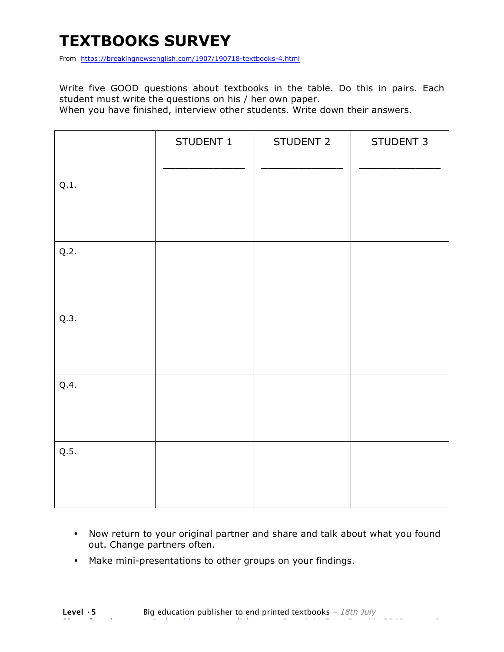## **TEXTBOOKS SURVEY**

From https://breakingnewsenglish.com/1907/190718-textbooks-4.html

Write five GOOD questions about textbooks in the table. Do this in pairs. Each student must write the questions on his / her own paper.

When you have finished, interview other students. Write down their answers.

|      | STUDENT 1 | STUDENT 2 | STUDENT 3 |
|------|-----------|-----------|-----------|
| Q.1. |           |           |           |
| Q.2. |           |           |           |
| Q.3. |           |           |           |
| Q.4. |           |           |           |
| Q.5. |           |           |           |

- Now return to your original partner and share and talk about what you found out. Change partners often.
- Make mini-presentations to other groups on your findings.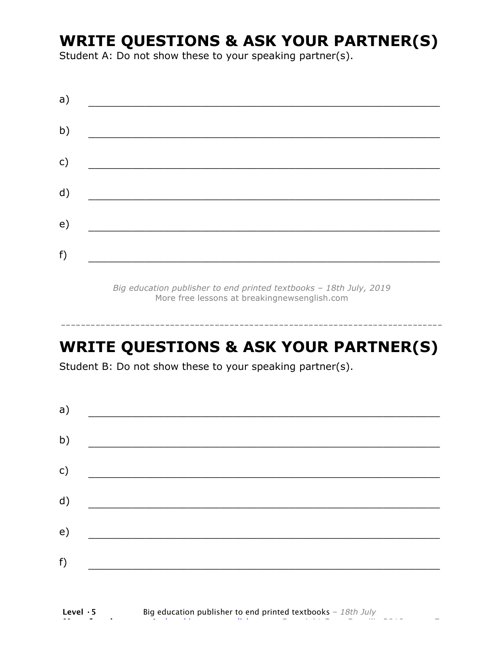### **WRITE QUESTIONS & ASK YOUR PARTNER(S)**

Student A: Do not show these to your speaking partner(s).

| a)           |  |  |
|--------------|--|--|
| b)           |  |  |
| $\mathsf{C}$ |  |  |
| d)           |  |  |
| e)           |  |  |
| f)           |  |  |
|              |  |  |

*Big education publisher to end printed textbooks – 18th July, 2019* More free lessons at breakingnewsenglish.com

### **WRITE QUESTIONS & ASK YOUR PARTNER(S)**

-----------------------------------------------------------------------------

Student B: Do not show these to your speaking partner(s).

| a)            |  |  |
|---------------|--|--|
| b)            |  |  |
| $\mathsf{c})$ |  |  |
| d)            |  |  |
| e)            |  |  |
| f)            |  |  |
|               |  |  |